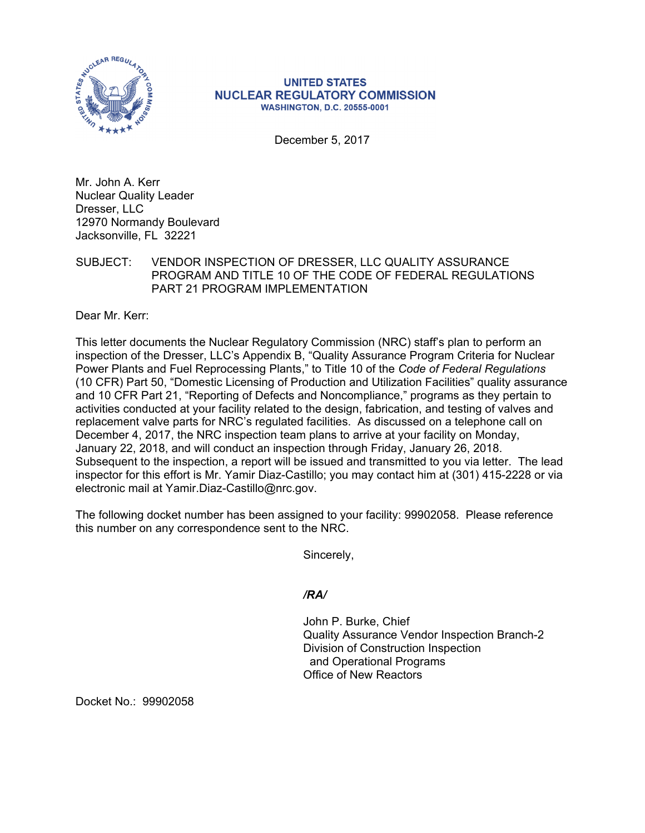

## **UNITED STATES NUCLEAR REGULATORY COMMISSION WASHINGTON, D.C. 20555-0001**

December 5, 2017

Mr. John A. Kerr Nuclear Quality Leader Dresser, LLC 12970 Normandy Boulevard Jacksonville, FL 32221

## SUBJECT: VENDOR INSPECTION OF DRESSER, LLC QUALITY ASSURANCE PROGRAM AND TITLE 10 OF THE CODE OF FEDERAL REGULATIONS PART 21 PROGRAM IMPLEMENTATION

Dear Mr. Kerr:

This letter documents the Nuclear Regulatory Commission (NRC) staff's plan to perform an inspection of the Dresser, LLC's Appendix B, "Quality Assurance Program Criteria for Nuclear Power Plants and Fuel Reprocessing Plants," to Title 10 of the *Code of Federal Regulations*  (10 CFR) Part 50, "Domestic Licensing of Production and Utilization Facilities" quality assurance and 10 CFR Part 21, "Reporting of Defects and Noncompliance," programs as they pertain to activities conducted at your facility related to the design, fabrication, and testing of valves and replacement valve parts for NRC's regulated facilities. As discussed on a telephone call on December 4, 2017, the NRC inspection team plans to arrive at your facility on Monday, January 22, 2018, and will conduct an inspection through Friday, January 26, 2018. Subsequent to the inspection, a report will be issued and transmitted to you via letter. The lead inspector for this effort is Mr. Yamir Diaz-Castillo; you may contact him at (301) 415-2228 or via electronic mail at Yamir.Diaz-Castillo@nrc.gov.

The following docket number has been assigned to your facility: 99902058. Please reference this number on any correspondence sent to the NRC.

Sincerely,

*/RA/* 

John P. Burke, Chief Quality Assurance Vendor Inspection Branch-2 Division of Construction Inspection and Operational Programs Office of New Reactors

Docket No.: 99902058